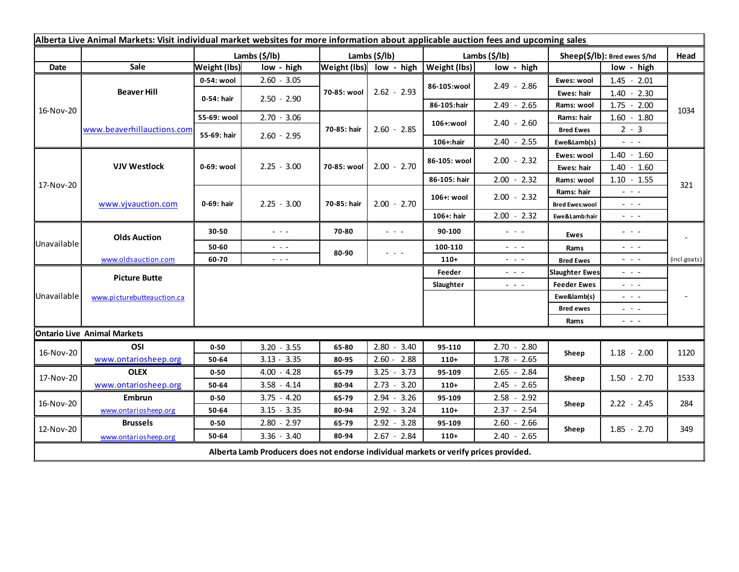| Alberta Live Animal Markets: Visit individual market websites for more information about applicable auction fees and upcoming sales |                                    |                     |                                                                                             |                         |               |              |                                                                                                                           |                       |                                                                                                                           |              |
|-------------------------------------------------------------------------------------------------------------------------------------|------------------------------------|---------------------|---------------------------------------------------------------------------------------------|-------------------------|---------------|--------------|---------------------------------------------------------------------------------------------------------------------------|-----------------------|---------------------------------------------------------------------------------------------------------------------------|--------------|
|                                                                                                                                     |                                    |                     | Lambs (\$/lb)                                                                               | Lambs (\$/lb)           |               |              | Lambs (\$/lb)                                                                                                             |                       | Sheep(\$/lb): Bred ewes \$/hd                                                                                             |              |
| Date                                                                                                                                | Sale                               | <b>Weight (lbs)</b> | low - high                                                                                  | Weight (lbs) low - high |               | Weight (lbs) | low - high                                                                                                                |                       | low - high                                                                                                                |              |
| 16-Nov-20                                                                                                                           | <b>Beaver Hill</b>                 | 0-54: wool          | $2.60 - 3.05$                                                                               | 70-85: wool             | $2.62 - 2.93$ | 86-105:wool  | $2.49 - 2.86$                                                                                                             | Ewes: wool            | $1.45 - 2.01$                                                                                                             |              |
|                                                                                                                                     |                                    | 0-54: hair          | $2.50 - 2.90$                                                                               |                         |               |              |                                                                                                                           | Ewes: hair            | $1.40 - 2.30$                                                                                                             |              |
|                                                                                                                                     |                                    |                     |                                                                                             |                         |               | 86-105:hair  | $2.49 - 2.65$                                                                                                             | Rams: wool            | $1.75 - 2.00$                                                                                                             | 1034         |
|                                                                                                                                     | www.beaverhillauctions.com         | 55-69: wool         | $2.70 - 3.06$                                                                               | 70-85: hair             | $2.60 - 2.85$ | 106+:wool    | $2.40 - 2.60$                                                                                                             | Rams: hair            | $1.60 - 1.80$                                                                                                             |              |
|                                                                                                                                     |                                    | 55-69: hair         | $2.60 - 2.95$                                                                               |                         |               |              |                                                                                                                           | <b>Bred Ewes</b>      | $2 - 3$                                                                                                                   |              |
|                                                                                                                                     |                                    |                     |                                                                                             |                         |               | 106+:hair    | $2.40 - 2.55$                                                                                                             | Ewe&Lamb(s)           | $\frac{1}{2} \left( \frac{1}{2} \right) \frac{1}{2} \left( \frac{1}{2} \right) \frac{1}{2} \left( \frac{1}{2} \right)$    |              |
| 17-Nov-20                                                                                                                           | <b>VJV Westlock</b>                | 0-69: wool          | $2.25 - 3.00$                                                                               | 70-85: wool             |               | 86-105: wool | $2.00 - 2.32$                                                                                                             | Ewes: wool            | $1.40 - 1.60$                                                                                                             | 321          |
|                                                                                                                                     |                                    |                     |                                                                                             |                         | $2.00 - 2.70$ |              |                                                                                                                           | Ewes: hair            | $1.40 - 1.60$                                                                                                             |              |
|                                                                                                                                     |                                    |                     |                                                                                             |                         |               | 86-105: hair | $2.00 - 2.32$                                                                                                             | Rams: wool            | $1.10 - 1.55$                                                                                                             |              |
|                                                                                                                                     | www.vjvauction.com                 | 0-69: hair          | $2.25 - 3.00$                                                                               | 70-85: hair             |               | 106+: wool   | $2.00 - 2.32$                                                                                                             | Rams: hair            | $  -$                                                                                                                     |              |
|                                                                                                                                     |                                    |                     |                                                                                             |                         | $2.00 - 2.70$ |              |                                                                                                                           | <b>Bred Ewes:wool</b> | $  -$                                                                                                                     |              |
|                                                                                                                                     |                                    |                     |                                                                                             |                         |               | 106+: hair   | $2.00 - 2.32$                                                                                                             | Ewe&Lamb:hair         | $\frac{1}{2} \left( \frac{1}{2} \right) \left( \frac{1}{2} \right) \left( \frac{1}{2} \right) \left( \frac{1}{2} \right)$ |              |
| Unavailable                                                                                                                         | <b>Olds Auction</b>                | 30-50               | $- - -$                                                                                     | 70-80                   | $  -$         | 90-100       | $\frac{1}{2} \left( \frac{1}{2} \right) \frac{1}{2} \left( \frac{1}{2} \right) \frac{1}{2} \left( \frac{1}{2} \right)$    | Ewes                  | $- - - -$                                                                                                                 |              |
|                                                                                                                                     |                                    | 50-60               | $\frac{1}{2} \left( \frac{1}{2} \right) \frac{1}{2} \left( \frac{1}{2} \right) \frac{1}{2}$ | 80-90                   | $  -$         | 100-110      | $\frac{1}{2} \left( \frac{1}{2} \right) \left( \frac{1}{2} \right) \left( \frac{1}{2} \right) \left( \frac{1}{2} \right)$ | Rams                  | $\frac{1}{2} \left( \frac{1}{2} \right) \frac{1}{2} \left( \frac{1}{2} \right) \frac{1}{2} \left( \frac{1}{2} \right)$    |              |
|                                                                                                                                     | www.oldsauction.com                | 60-70               | $\sim$ $\sim$ $\sim$                                                                        |                         |               | $110+$       | $\frac{1}{2} \left( \frac{1}{2} \right) \left( \frac{1}{2} \right) \left( \frac{1}{2} \right) \left( \frac{1}{2} \right)$ | <b>Bred Ewes</b>      | $ -$                                                                                                                      | (incl.goats) |
| Unavailable                                                                                                                         | <b>Picture Butte</b>               |                     |                                                                                             |                         |               | Feeder       | $  -$                                                                                                                     | <b>Slaughter Ewes</b> | $  -$                                                                                                                     |              |
|                                                                                                                                     | www.picturebutteauction.ca         |                     |                                                                                             |                         |               | Slaughter    | $\frac{1}{2} \left( \frac{1}{2} \right) \left( \frac{1}{2} \right) \left( \frac{1}{2} \right)$                            | <b>Feeder Ewes</b>    | $  -$                                                                                                                     |              |
|                                                                                                                                     |                                    |                     |                                                                                             |                         |               |              |                                                                                                                           | Ewe&lamb(s)           | $- - - -$                                                                                                                 |              |
|                                                                                                                                     |                                    |                     |                                                                                             |                         |               |              |                                                                                                                           | <b>Bred ewes</b>      | $\frac{1}{2} \left( \frac{1}{2} \right) \frac{1}{2} \left( \frac{1}{2} \right) \frac{1}{2} \left( \frac{1}{2} \right)$    |              |
|                                                                                                                                     |                                    |                     |                                                                                             |                         |               |              |                                                                                                                           | Rams                  | $\frac{1}{2} \left( \frac{1}{2} \right) \frac{1}{2} \left( \frac{1}{2} \right) \frac{1}{2} \left( \frac{1}{2} \right)$    |              |
|                                                                                                                                     | <b>Ontario Live Animal Markets</b> |                     |                                                                                             |                         |               |              |                                                                                                                           |                       |                                                                                                                           |              |
| 16-Nov-20                                                                                                                           | OSI                                | $0 - 50$            | $3.20 - 3.55$                                                                               | 65-80                   | $2.80 - 3.40$ | 95-110       | $2.70 - 2.80$                                                                                                             | Sheep                 | $1.18 - 2.00$                                                                                                             | 1120         |
|                                                                                                                                     | www.ontariosheep.org               | 50-64               | $3.13 - 3.35$                                                                               | 80-95                   | $2.60 - 2.88$ | $110+$       | $1.78 - 2.65$                                                                                                             |                       |                                                                                                                           |              |
| 17-Nov-20                                                                                                                           | <b>OLEX</b>                        | $0 - 50$            | $4.00 - 4.28$                                                                               | 65-79                   | $3.25 - 3.73$ | 95-109       | $2.65 - 2.84$                                                                                                             | Sheep                 | $1.50 - 2.70$                                                                                                             | 1533         |
|                                                                                                                                     | www.ontariosheep.org               | 50-64               | $3.58 - 4.14$                                                                               | 80-94                   | $2.73 - 3.20$ | $110+$       | $2.45 - 2.65$                                                                                                             |                       |                                                                                                                           |              |
| 16-Nov-20                                                                                                                           | <b>Embrun</b>                      | $0 - 50$            | $3.75 - 4.20$                                                                               | 65-79                   | $2.94 - 3.26$ | 95-109       | $2.58 - 2.92$                                                                                                             | Sheep                 | $2.22 - 2.45$                                                                                                             | 284          |
|                                                                                                                                     | www.ontariosheep.org               | 50-64               | $3.15 - 3.35$                                                                               | 80-94                   | $2.92 - 3.24$ | $110+$       | $2.37 - 2.54$                                                                                                             |                       |                                                                                                                           |              |
| 12-Nov-20                                                                                                                           | <b>Brussels</b>                    | $0 - 50$            | $2.80 - 2.97$                                                                               | 65-79                   | $2.92 - 3.28$ | 95-109       | $2.60 - 2.66$                                                                                                             | Sheep                 | $1.85 - 2.70$                                                                                                             | 349          |
|                                                                                                                                     | www.ontariosheep.org               | 50-64               | $3.36 - 3.40$                                                                               | 80-94                   | $2.67 - 2.84$ | $110+$       | $2.40 - 2.65$                                                                                                             |                       |                                                                                                                           |              |
| Alberta Lamb Producers does not endorse individual markets or verify prices provided.                                               |                                    |                     |                                                                                             |                         |               |              |                                                                                                                           |                       |                                                                                                                           |              |